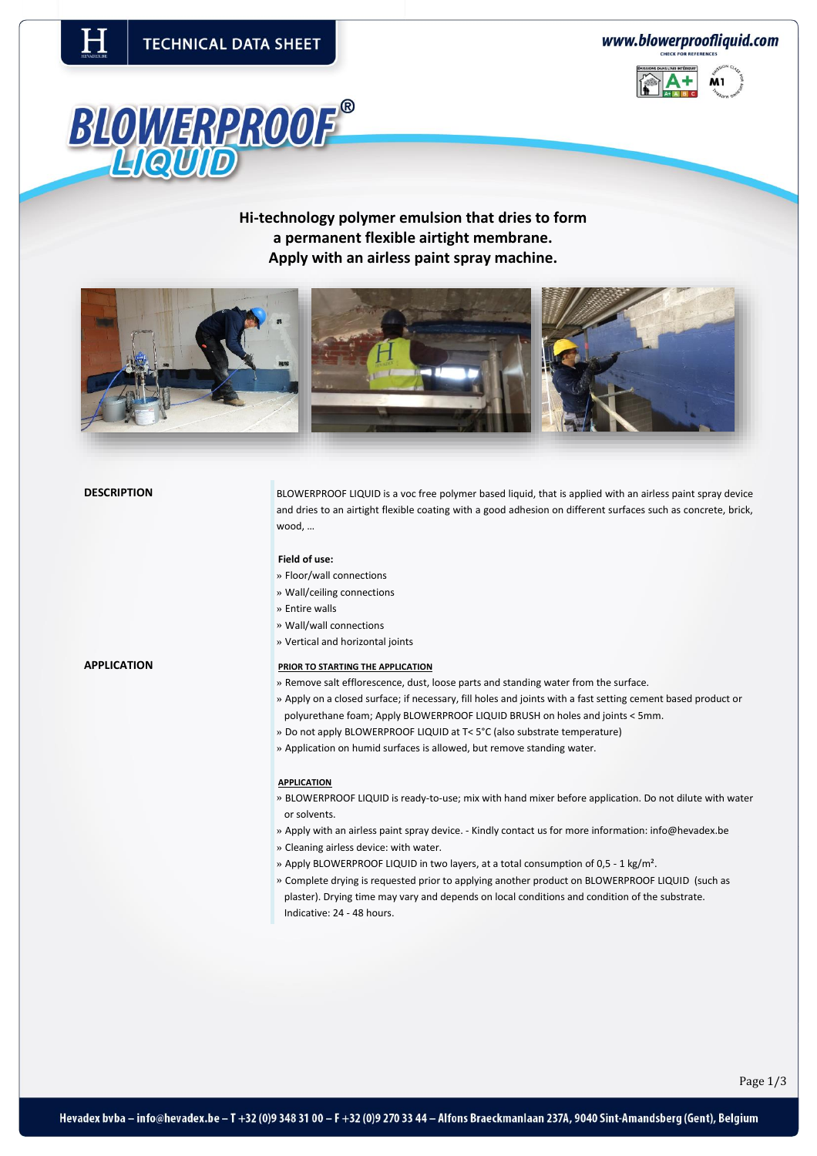www.blowerproofliquid.com





**Hi-technology polymer emulsion that dries to form a permanent flexible airtight membrane. Apply with an airless paint spray machine.** 



**DESCRIPTION** BLOWERPROOF LIQUID is a voc free polymer based liquid, that is applied with an airless paint spray device and dries to an airtight flexible coating with a good adhesion on different surfaces such as concrete, brick, wood, …

# **Field of use:**

- » Floor/wall connections
- » Wall/ceiling connections
- » Entire walls
- » Wall/wall connections
- » Vertical and horizontal joints

# **APPLICATION PRIOR TO STARTING THE APPLICATION**

- » Remove salt efflorescence, dust, loose parts and standing water from the surface.
- » Apply on a closed surface; if necessary, fill holes and joints with a fast setting cement based product or polyurethane foam; Apply BLOWERPROOF LIQUID BRUSH on holes and joints < 5mm.
- » Do not apply BLOWERPROOF LIQUID at T< 5°C (also substrate temperature)
- » Application on humid surfaces is allowed, but remove standing water.

### **APPLICATION**

- » BLOWERPROOF LIQUID is ready-to-use; mix with hand mixer before application. Do not dilute with water or solvents.
- » Apply with an airless paint spray device. Kindly contact us for more information[: info@hevadex.be](mailto:info@hevadex.be)
- » Cleaning airless device: with water.
- » Apply BLOWERPROOF LIQUID in two layers, at a total consumption of 0,5 1 kg/m².
- » Complete drying is requested prior to applying another product on BLOWERPROOF LIQUID (such as plaster). Drying time may vary and depends on local conditions and condition of the substrate. Indicative: 24 - 48 hours.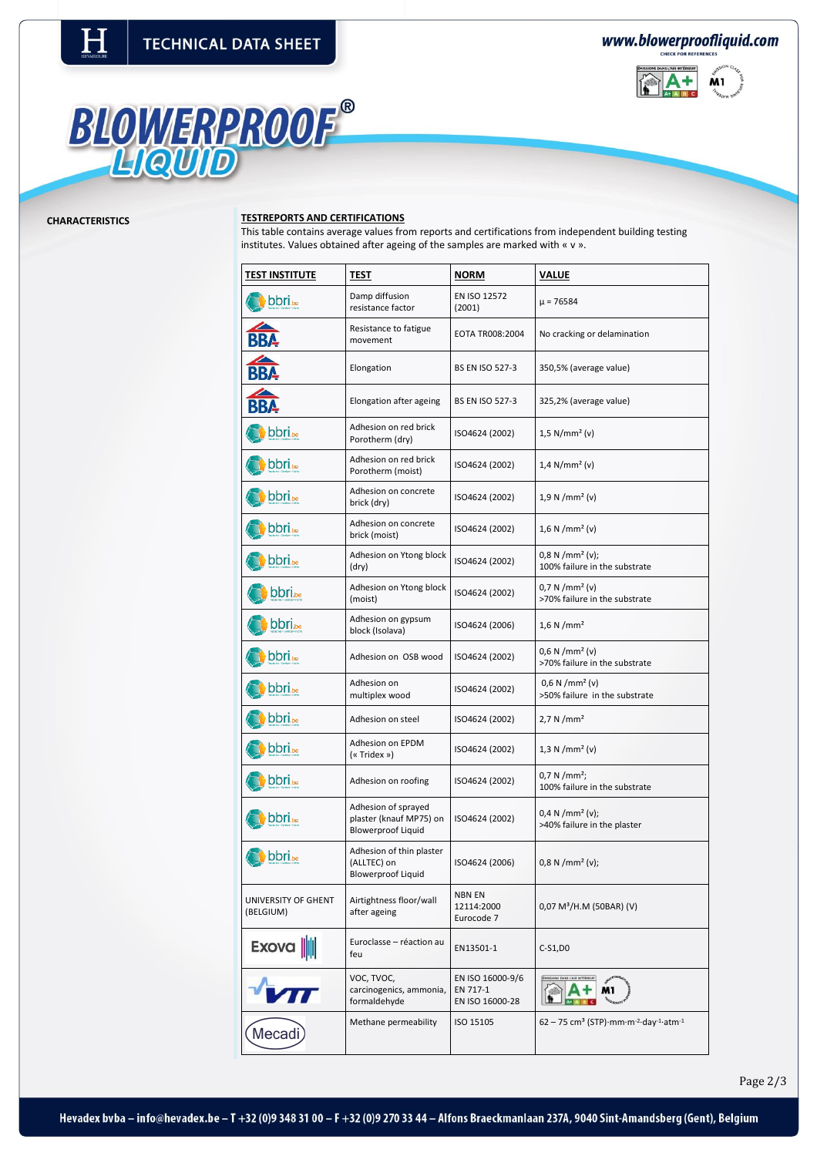www.blowerproofliquid.com



# BLOWERPROOF®

# **CHARACTERISTICS TESTREPORTS AND CERTIFICATIONS**

This table contains average values from reports and certifications from independent building testing institutes. Values obtained after ageing of the samples are marked with « v ».

| <b>TEST INSTITUTE</b>            | TEST                                                                        | <b>NORM</b>                                     | VALUE                                                                                  |
|----------------------------------|-----------------------------------------------------------------------------|-------------------------------------------------|----------------------------------------------------------------------------------------|
| <b>bbri</b> be                   | Damp diffusion<br>resistance factor                                         | EN ISO 12572<br>(2001)                          | μ = 76584                                                                              |
| <b>BBA</b>                       | Resistance to fatigue<br>movement                                           | EOTA TR008:2004                                 | No cracking or delamination                                                            |
| <b>BBA</b>                       | Elongation                                                                  | <b>BS EN ISO 527-3</b>                          | 350,5% (average value)                                                                 |
| <b>BBA</b>                       | Elongation after ageing                                                     | <b>BS EN ISO 527-3</b>                          | 325,2% (average value)                                                                 |
| <b>bbri</b> be                   | Adhesion on red brick<br>Porotherm (dry)                                    | ISO4624 (2002)                                  | $1,5 \text{ N/mm}^2 (v)$                                                               |
| <b>bbri</b> be                   | Adhesion on red brick<br>Porotherm (moist)                                  | ISO4624 (2002)                                  | $1,4 \text{ N/mm}^2$ (v)                                                               |
| <b>bbri</b> be                   | Adhesion on concrete<br>brick (dry)                                         | ISO4624 (2002)                                  | $1,9 \text{ N/mm}^2 (v)$                                                               |
| <b>bbri</b> be                   | Adhesion on concrete<br>brick (moist)                                       | ISO4624 (2002)                                  | $1,6 \text{ N/mm}^2 (v)$                                                               |
| bbri.be                          | Adhesion on Ytong block<br>(dry)                                            | ISO4624 (2002)                                  | $0.8 N/mm2 (v)$ ;<br>100% failure in the substrate                                     |
| <b>bbri.</b> be                  | Adhesion on Ytong block<br>(moist)                                          | ISO4624 (2002)                                  | $0,7 \text{ N/mm}^2 \text{ (v)}$<br>>70% failure in the substrate                      |
| <b>bbri.</b>                     | Adhesion on gypsum<br>block (Isolava)                                       | ISO4624 (2006)                                  | $1,6 \text{ N/mm}^2$                                                                   |
| <b>bbri</b> be                   | Adhesion on OSB wood                                                        | ISO4624 (2002)                                  | $0,6 \text{ N/mm}^2 \text{ (v)}$<br>>70% failure in the substrate                      |
| bbri <sub>be</sub>               | Adhesion on<br>multiplex wood                                               | ISO4624 (2002)                                  | $0,6 \text{ N/mm}^2$ (v)<br>>50% failure in the substrate                              |
| <b>bbri</b> be                   | Adhesion on steel                                                           | ISO4624 (2002)                                  | $2,7 \text{ N/mm}^2$                                                                   |
| <b>bbri</b> be                   | Adhesion on EPDM<br>(« Tridex »)                                            | ISO4624 (2002)                                  | $1,3 \text{ N/mm}^2 (v)$                                                               |
| <b>bbri</b> be                   | Adhesion on roofing                                                         | ISO4624 (2002)                                  | $0.7 N/mm^2$ ;<br>100% failure in the substrate                                        |
| <b>bbri</b> be                   | Adhesion of sprayed<br>plaster (knauf MP75) on<br><b>Blowerproof Liquid</b> | ISO4624 (2002)                                  | $0,4 \text{ N/mm}^2 \text{ (v)}$ ;<br>>40% failure in the plaster                      |
| <b>bbri</b> .be                  | Adhesion of thin plaster<br>(ALLTEC) on<br><b>Blowerproof Liquid</b>        | ISO4624 (2006)                                  | $0.8 N/mm2 (v)$ ;                                                                      |
| UNIVERSITY OF GHENT<br>(BELGIUM) | Airtightness floor/wall<br>after ageing                                     | NBN EN<br>12114:2000<br>Eurocode 7              | 0,07 M <sup>3</sup> /H.M (50BAR) (V)                                                   |
| Exova                            | Euroclasse - réaction au<br>feu                                             | EN13501-1                                       | C-S1,D0                                                                                |
|                                  | VOC, TVOC,<br>carcinogenics, ammonia,<br>formaldehyde                       | EN ISO 16000-9/6<br>EN 717-1<br>EN ISO 16000-28 | M1                                                                                     |
| Mecadi                           | Methane permeability                                                        | ISO 15105                                       | $62 - 75$ cm <sup>3</sup> (STP) mm m <sup>-2</sup> day <sup>-1</sup> atm <sup>-1</sup> |